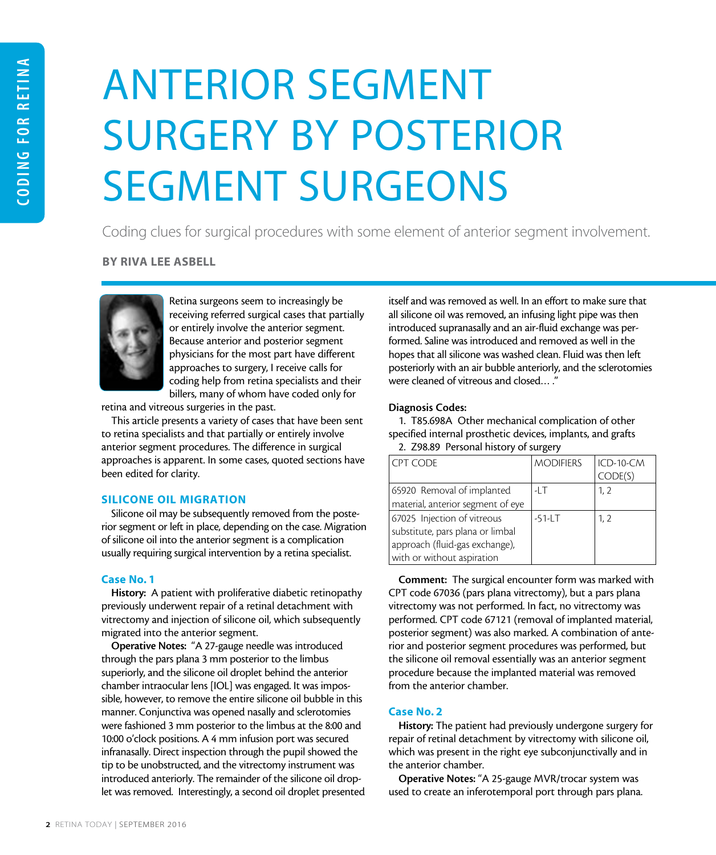# ANTERIOR SEGMENT SURGERY BY POSTERIOR SEGMENT SURGEONS

Coding clues for surgical procedures with some element of anterior segment involvement.

BY RIVA LEE ASBELL



Retina surgeons seem to increasingly be receiving referred surgical cases that partially or entirely involve the anterior segment. Because anterior and posterior segment physicians for the most part have different approaches to surgery, I receive calls for coding help from retina specialists and their billers, many of whom have coded only for

retina and vitreous surgeries in the past.

This article presents a variety of cases that have been sent to retina specialists and that partially or entirely involve anterior segment procedures. The difference in surgical approaches is apparent. In some cases, quoted sections have been edited for clarity.

# SILICONE OIL MIGRATION

Silicone oil may be subsequently removed from the posterior segment or left in place, depending on the case. Migration of silicone oil into the anterior segment is a complication usually requiring surgical intervention by a retina specialist.

#### Case No. 1

History: A patient with proliferative diabetic retinopathy previously underwent repair of a retinal detachment with vitrectomy and injection of silicone oil, which subsequently migrated into the anterior segment.

Operative Notes: "A 27-gauge needle was introduced through the pars plana 3 mm posterior to the limbus superiorly, and the silicone oil droplet behind the anterior chamber intraocular lens [IOL] was engaged. It was impossible, however, to remove the entire silicone oil bubble in this manner. Conjunctiva was opened nasally and sclerotomies were fashioned 3 mm posterior to the limbus at the 8:00 and 10:00 o'clock positions. A 4 mm infusion port was secured infranasally. Direct inspection through the pupil showed the tip to be unobstructed, and the vitrectomy instrument was introduced anteriorly. The remainder of the silicone oil droplet was removed. Interestingly, a second oil droplet presented

itself and was removed as well. In an effort to make sure that all silicone oil was removed, an infusing light pipe was then introduced supranasally and an air-fluid exchange was performed. Saline was introduced and removed as well in the hopes that all silicone was washed clean. Fluid was then left posteriorly with an air bubble anteriorly, and the sclerotomies were cleaned of vitreous and closed… ."

#### Diagnosis Codes:

1. T85.698A Other mechanical complication of other specified internal prosthetic devices, implants, and grafts 2. Z98.89 Personal history of surgery

| <b>CPT CODE</b>                   | <b>MODIFIERS</b> | ICD-10-CM |
|-----------------------------------|------------------|-----------|
|                                   |                  | CODE(S)   |
| 65920 Removal of implanted        | -LT              | 1, 2      |
| material, anterior segment of eye |                  |           |
| 67025 Injection of vitreous       | $-51 - LT$       | 1, 2      |
| substitute, pars plana or limbal  |                  |           |
| approach (fluid-gas exchange),    |                  |           |
| with or without aspiration        |                  |           |

Comment: The surgical encounter form was marked with CPT code 67036 (pars plana vitrectomy), but a pars plana vitrectomy was not performed. In fact, no vitrectomy was performed. CPT code 67121 (removal of implanted material, posterior segment) was also marked. A combination of anterior and posterior segment procedures was performed, but the silicone oil removal essentially was an anterior segment procedure because the implanted material was removed from the anterior chamber.

# Case No. 2

History: The patient had previously undergone surgery for repair of retinal detachment by vitrectomy with silicone oil, which was present in the right eye subconjunctivally and in the anterior chamber.

Operative Notes: "A 25-gauge MVR/trocar system was used to create an inferotemporal port through pars plana.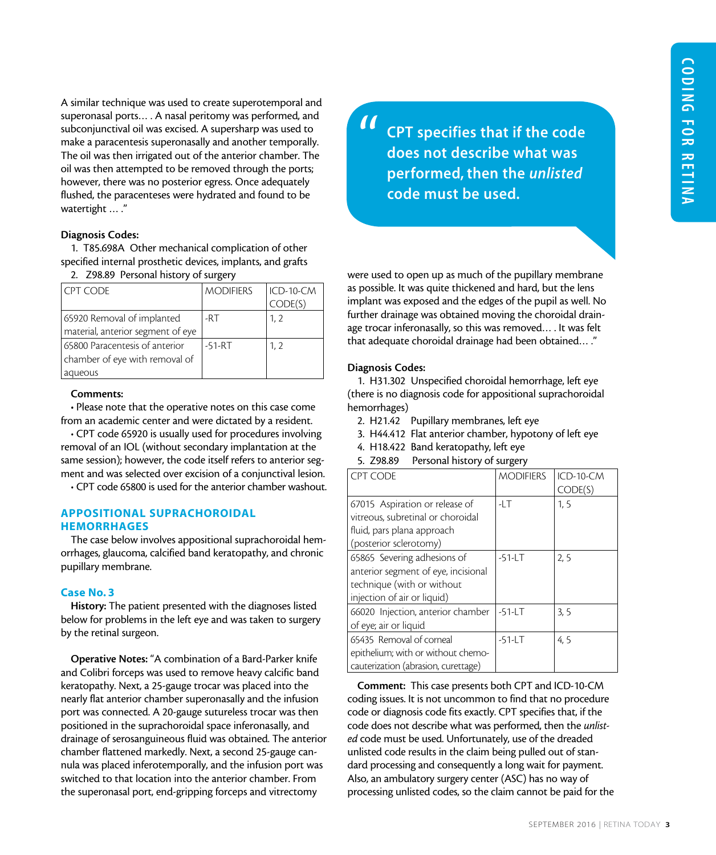A similar technique was used to create superotemporal and superonasal ports… . A nasal peritomy was performed, and subconjunctival oil was excised. A supersharp was used to make a paracentesis superonasally and another temporally. The oil was then irrigated out of the anterior chamber. The oil was then attempted to be removed through the ports; however, there was no posterior egress. Once adequately flushed, the paracenteses were hydrated and found to be watertight … ."

#### Diagnosis Codes:

1. T85.698A Other mechanical complication of other specified internal prosthetic devices, implants, and grafts

2. Z98.89 Personal history of surgery

| I CPT CODE                        | <b>MODIFIERS</b> | ICD-10-CM |
|-----------------------------------|------------------|-----------|
|                                   |                  | CODE(S)   |
| 65920 Removal of implanted        | -RT              | 1, 2      |
| material, anterior segment of eye |                  |           |
| 65800 Paracentesis of anterior    | $-51 - RT$       | 1, 2      |
| chamber of eye with removal of    |                  |           |
| aqueous                           |                  |           |

#### Comments:

• Please note that the operative notes on this case come from an academic center and were dictated by a resident.

• CPT code 65920 is usually used for procedures involving removal of an IOL (without secondary implantation at the same session); however, the code itself refers to anterior segment and was selected over excision of a conjunctival lesion.

• CPT code 65800 is used for the anterior chamber washout.

#### APPOSITIONAL SUPRACHOROIDAL **HEMORRHAGES**

The case below involves appositional suprachoroidal hemorrhages, glaucoma, calcified band keratopathy, and chronic pupillary membrane.

#### Case No. 3

History: The patient presented with the diagnoses listed below for problems in the left eye and was taken to surgery by the retinal surgeon.

Operative Notes: "A combination of a Bard-Parker knife and Colibri forceps was used to remove heavy calcific band keratopathy. Next, a 25-gauge trocar was placed into the nearly flat anterior chamber superonasally and the infusion port was connected. A 20-gauge sutureless trocar was then positioned in the suprachoroidal space inferonasally, and drainage of serosanguineous fluid was obtained. The anterior chamber flattened markedly. Next, a second 25-gauge cannula was placed inferotemporally, and the infusion port was switched to that location into the anterior chamber. From the superonasal port, end-gripping forceps and vitrectomy

CPT specifies that if the code does not describe what was performed, then the *unlisted* code must be used. "

were used to open up as much of the pupillary membrane as possible. It was quite thickened and hard, but the lens implant was exposed and the edges of the pupil as well. No further drainage was obtained moving the choroidal drainage trocar inferonasally, so this was removed… . It was felt that adequate choroidal drainage had been obtained… ."

#### Diagnosis Codes:

1. H31.302 Unspecified choroidal hemorrhage, left eye (there is no diagnosis code for appositional suprachoroidal hemorrhages)

- 2. H21.42 Pupillary membranes, left eye
- 3. H44.412 Flat anterior chamber, hypotony of left eye
- 4. H18.422 Band keratopathy, left eye
- 5. Z98.89 Personal history of surgery

| <b>CPT CODE</b>                     | <b>MODIFIERS</b> | ICD-10-CM |
|-------------------------------------|------------------|-----------|
|                                     |                  | CODE(S)   |
| 67015 Aspiration or release of      | $-1.1$           | 1.5       |
| vitreous, subretinal or choroidal   |                  |           |
| fluid, pars plana approach          |                  |           |
| (posterior sclerotomy)              |                  |           |
| 65865 Severing adhesions of         | $-51 - L$ T      | 2.5       |
| anterior segment of eye, incisional |                  |           |
| technique (with or without          |                  |           |
| injection of air or liquid)         |                  |           |
| 66020 Injection, anterior chamber   | $-51 - L$ T      | 3, 5      |
| of eye; air or liquid               |                  |           |
| 65435 Removal of corneal            | $-51 - LT$       | 4,5       |
| epithelium; with or without chemo-  |                  |           |
| cauterization (abrasion, curettage) |                  |           |

Comment: This case presents both CPT and ICD-10-CM coding issues. It is not uncommon to find that no procedure code or diagnosis code fits exactly. CPT specifies that, if the code does not describe what was performed, then the *unlisted* code must be used. Unfortunately, use of the dreaded unlisted code results in the claim being pulled out of standard processing and consequently a long wait for payment. Also, an ambulatory surgery center (ASC) has no way of processing unlisted codes, so the claim cannot be paid for the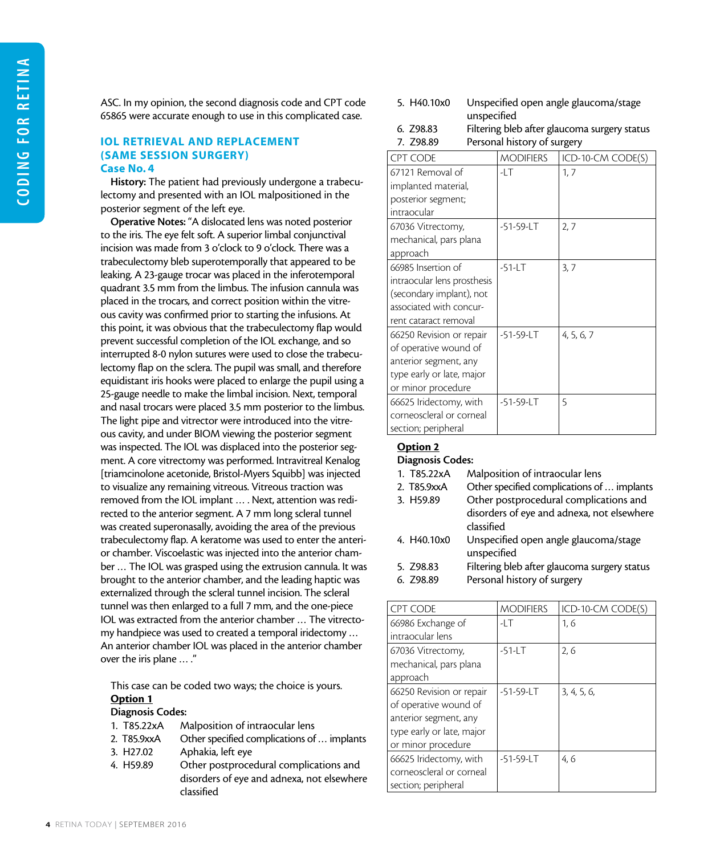ASC. In my opinion, the second diagnosis code and CPT code 65865 were accurate enough to use in this complicated case.

#### IOL RETRIEVAL AND REPLACEMENT (SAME SESSION SURGERY) Case No. 4

History: The patient had previously undergone a trabeculectomy and presented with an IOL malpositioned in the posterior segment of the left eye.

Operative Notes: "A dislocated lens was noted posterior to the iris. The eye felt soft. A superior limbal conjunctival incision was made from 3 o'clock to 9 o'clock. There was a trabeculectomy bleb superotemporally that appeared to be leaking. A 23-gauge trocar was placed in the inferotemporal quadrant 3.5 mm from the limbus. The infusion cannula was placed in the trocars, and correct position within the vitreous cavity was confirmed prior to starting the infusions. At this point, it was obvious that the trabeculectomy flap would prevent successful completion of the IOL exchange, and so interrupted 8-0 nylon sutures were used to close the trabeculectomy flap on the sclera. The pupil was small, and therefore equidistant iris hooks were placed to enlarge the pupil using a 25-gauge needle to make the limbal incision. Next, temporal and nasal trocars were placed 3.5 mm posterior to the limbus. The light pipe and vitrector were introduced into the vitreous cavity, and under BIOM viewing the posterior segment was inspected. The IOL was displaced into the posterior segment. A core vitrectomy was performed. Intravitreal Kenalog [triamcinolone acetonide, Bristol-Myers Squibb] was injected to visualize any remaining vitreous. Vitreous traction was removed from the IOL implant … . Next, attention was redirected to the anterior segment. A 7 mm long scleral tunnel was created superonasally, avoiding the area of the previous trabeculectomy flap. A keratome was used to enter the anterior chamber. Viscoelastic was injected into the anterior chamber … The IOL was grasped using the extrusion cannula. It was brought to the anterior chamber, and the leading haptic was externalized through the scleral tunnel incision. The scleral tunnel was then enlarged to a full 7 mm, and the one-piece IOL was extracted from the anterior chamber … The vitrectomy handpiece was used to created a temporal iridectomy … An anterior chamber IOL was placed in the anterior chamber over the iris plane … ."

This case can be coded two ways; the choice is yours. Option 1

#### Diagnosis Codes:

- 1. T85.22xA Malposition of intraocular lens
- 2. T85.9xxA Other specified complications of … implants
- 3. H27.02 Aphakia, left eye
- 4. H59.89 Other postprocedural complications and disorders of eye and adnexa, not elsewhere classified
- 5. H40.10x0 Unspecified open angle glaucoma/stage unspecified
- 6. Z98.83 Filtering bleb after glaucoma surgery status
- 7. Z98.89 Personal history of surgery

| <b>CPT CODE</b>             | <b>MODIFIERS</b> | ICD-10-CM CODE(S) |
|-----------------------------|------------------|-------------------|
| 67121 Removal of            | -LT              | 1, 7              |
| implanted material,         |                  |                   |
| posterior segment;          |                  |                   |
| intraocular                 |                  |                   |
| 67036 Vitrectomy,           | -51-59-LT        | 2,7               |
| mechanical, pars plana      |                  |                   |
| approach                    |                  |                   |
| 66985 Insertion of          | $-51 - LT$       | 3,7               |
| intraocular lens prosthesis |                  |                   |
| (secondary implant), not    |                  |                   |
| associated with concur-     |                  |                   |
| rent cataract removal       |                  |                   |
| 66250 Revision or repair    | -51-59-LT        | 4, 5, 6, 7        |
| of operative wound of       |                  |                   |
| anterior segment, any       |                  |                   |
| type early or late, major   |                  |                   |
| or minor procedure          |                  |                   |
| 66625 Iridectomy, with      | -51-59-LT        | 5                 |
| corneoscleral or corneal    |                  |                   |
| section; peripheral         |                  |                   |

# Option 2

Diagnosis Codes:

- 1. T85.22xA Malposition of intraocular lens
- 2. T85.9xxA Other specified complications of … implants
- 3. H59.89 Other postprocedural complications and disorders of eye and adnexa, not elsewhere classified
- 4. H40.10x0 Unspecified open angle glaucoma/stage unspecified
- 5. Z98.83 Filtering bleb after glaucoma surgery status
- 6. Z98.89 Personal history of surgery

| CPT CODE                  | <b>MODIFIERS</b> | ICD-10-CM CODE(S) |
|---------------------------|------------------|-------------------|
| 66986 Exchange of         | -LT              | 1, 6              |
| intraocular lens          |                  |                   |
| 67036 Vitrectomy,         | $-51 - LT$       | 2,6               |
| mechanical, pars plana    |                  |                   |
| approach                  |                  |                   |
| 66250 Revision or repair  | $-51 - 59 - LT$  | 3, 4, 5, 6        |
| of operative wound of     |                  |                   |
| anterior segment, any     |                  |                   |
| type early or late, major |                  |                   |
| or minor procedure        |                  |                   |
| 66625 Iridectomy, with    | $-51-59-LT$      | 4.6               |
| corneoscleral or corneal  |                  |                   |
| section; peripheral       |                  |                   |